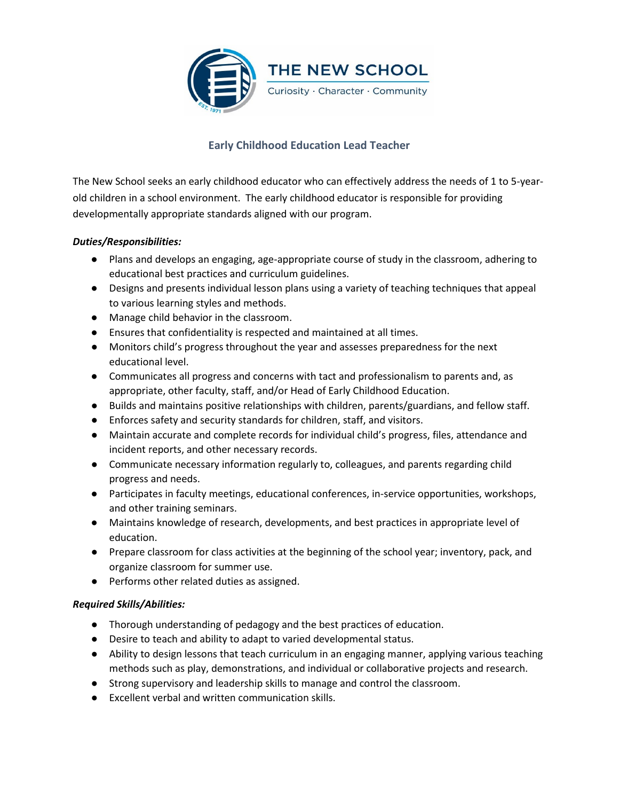

# **Early Childhood Education Lead Teacher**

The New School seeks an early childhood educator who can effectively address the needs of 1 to 5-yearold children in a school environment. The early childhood educator is responsible for providing developmentally appropriate standards aligned with our program.

## *Duties/Responsibilities:*

- Plans and develops an engaging, age-appropriate course of study in the classroom, adhering to educational best practices and curriculum guidelines.
- Designs and presents individual lesson plans using a variety of teaching techniques that appeal to various learning styles and methods.
- Manage child behavior in the classroom.
- Ensures that confidentiality is respected and maintained at all times.
- Monitors child's progress throughout the year and assesses preparedness for the next educational level.
- Communicates all progress and concerns with tact and professionalism to parents and, as appropriate, other faculty, staff, and/or Head of Early Childhood Education.
- Builds and maintains positive relationships with children, parents/guardians, and fellow staff.
- Enforces safety and security standards for children, staff, and visitors.
- Maintain accurate and complete records for individual child's progress, files, attendance and incident reports, and other necessary records.
- Communicate necessary information regularly to, colleagues, and parents regarding child progress and needs.
- Participates in faculty meetings, educational conferences, in-service opportunities, workshops, and other training seminars.
- Maintains knowledge of research, developments, and best practices in appropriate level of education.
- Prepare classroom for class activities at the beginning of the school year; inventory, pack, and organize classroom for summer use.
- Performs other related duties as assigned.

# *Required Skills/Abilities:*

- Thorough understanding of pedagogy and the best practices of education.
- Desire to teach and ability to adapt to varied developmental status.
- Ability to design lessons that teach curriculum in an engaging manner, applying various teaching methods such as play, demonstrations, and individual or collaborative projects and research.
- Strong supervisory and leadership skills to manage and control the classroom.
- Excellent verbal and written communication skills.